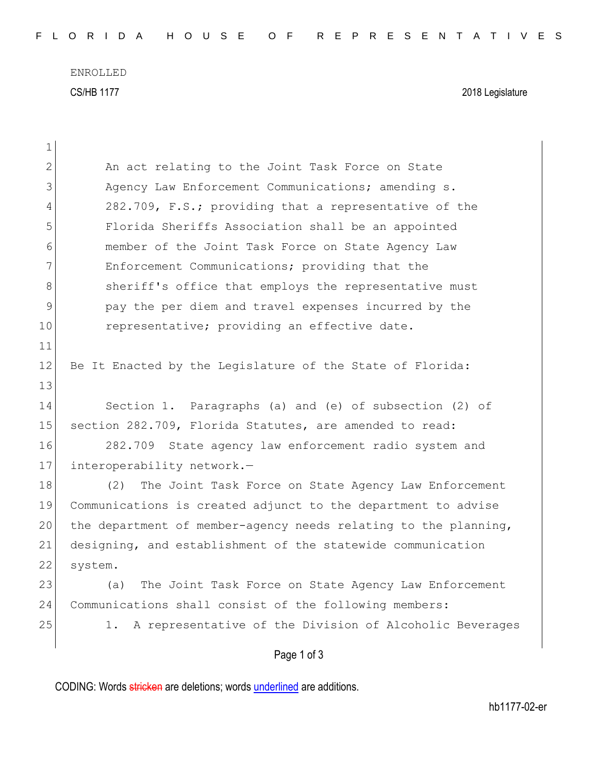ENROLLED CS/HB 1177 2018 Legislature

| $\mathbf 1$  |                                                                 |
|--------------|-----------------------------------------------------------------|
| $\mathbf{2}$ | An act relating to the Joint Task Force on State                |
| 3            | Agency Law Enforcement Communications; amending s.              |
| 4            | 282.709, F.S.; providing that a representative of the           |
| 5            | Florida Sheriffs Association shall be an appointed              |
| 6            | member of the Joint Task Force on State Agency Law              |
| 7            | Enforcement Communications; providing that the                  |
| 8            | sheriff's office that employs the representative must           |
| $\mathsf 9$  | pay the per diem and travel expenses incurred by the            |
| 10           | representative; providing an effective date.                    |
| 11           |                                                                 |
| 12           | Be It Enacted by the Legislature of the State of Florida:       |
| 13           |                                                                 |
| 14           | Section 1. Paragraphs (a) and (e) of subsection (2) of          |
| 15           | section 282.709, Florida Statutes, are amended to read:         |
| 16           | 282.709 State agency law enforcement radio system and           |
| 17           | interoperability network.-                                      |
| 18           | (2) The Joint Task Force on State Agency Law Enforcement        |
| 19           | Communications is created adjunct to the department to advise   |
| 20           | the department of member-agency needs relating to the planning, |
| 21           | designing, and establishment of the statewide communication     |
| 22           | system.                                                         |
| 23           | The Joint Task Force on State Agency Law Enforcement<br>(a)     |
| 24           | Communications shall consist of the following members:          |
| 25           | 1. A representative of the Division of Alcoholic Beverages      |
|              | Page 1 of 3                                                     |
|              |                                                                 |

CODING: Words stricken are deletions; words underlined are additions.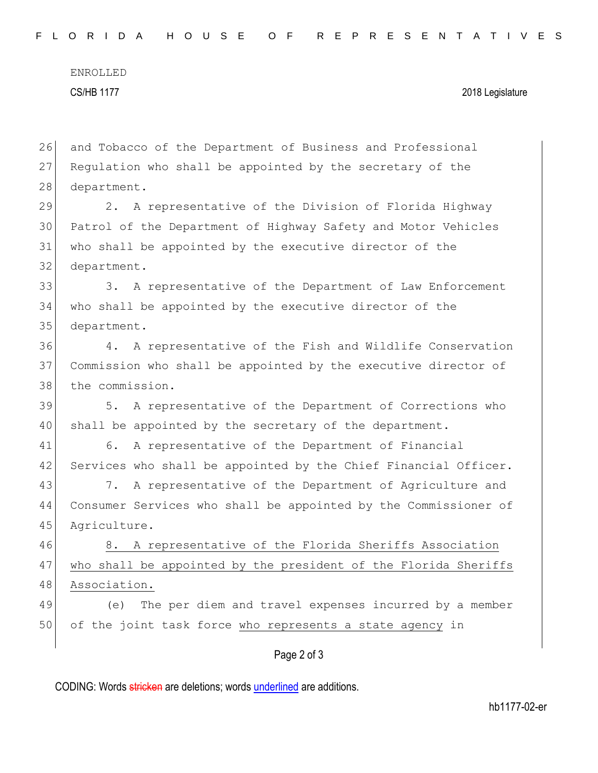ENROLLED CS/HB 1177 2018 Legislature

26 and Tobacco of the Department of Business and Professional 27 Regulation who shall be appointed by the secretary of the 28 department.

 2. A representative of the Division of Florida Highway Patrol of the Department of Highway Safety and Motor Vehicles who shall be appointed by the executive director of the department.

33 3. A representative of the Department of Law Enforcement 34 who shall be appointed by the executive director of the 35 department.

36 4. A representative of the Fish and Wildlife Conservation 37 Commission who shall be appointed by the executive director of 38 the commission.

39 5. A representative of the Department of Corrections who 40 shall be appointed by the secretary of the department.

41 6. A representative of the Department of Financial 42 Services who shall be appointed by the Chief Financial Officer.

43 7. A representative of the Department of Agriculture and 44 Consumer Services who shall be appointed by the Commissioner of 45 Agriculture.

46 8. A representative of the Florida Sheriffs Association 47 who shall be appointed by the president of the Florida Sheriffs 48 Association.

49 (e) The per diem and travel expenses incurred by a member 50 of the joint task force who represents a state agency in

## Page 2 of 3

CODING: Words stricken are deletions; words underlined are additions.